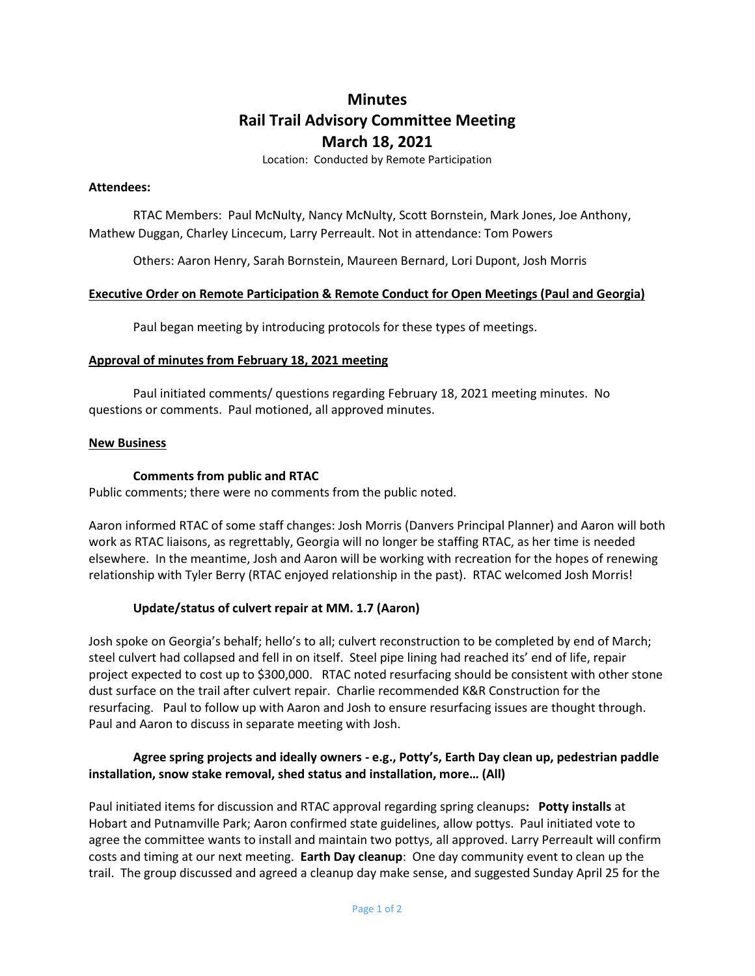# **Minutes Rail Trail Advisory Committee Meeting March 18, 2021**

Location: Conducted by Remote Participation

#### **Attendees:**

RTAC Members: Paul McNulty, Nancy McNulty, Scott Bornstein, Mark Jones, Joe Anthony, Mathew Duggan, Charley Lincecum, Larry Perreault. Not in attendance: Tom Powers

Others: Aaron Henry, Sarah Bornstein, Maureen Bernard, Lori Dupont, Josh Morris

## **Executive Order on Remote Participation & Remote Conduct for Open Meetings (Paul and Georgia)**

Paul began meeting by introducing protocols for these types of meetings.

#### **Approval of minutes from February 18, 2021 meeting**

Paul initiated comments/ questions regarding February 18, 2021 meeting minutes. No questions or comments. Paul motioned, all approved minutes.

#### **New Business**

## **Comments from public and RTAC**

Public comments; there were no comments from the public noted.

Aaron informed RTAC of some staff changes: Josh Morris (Danvers Principal Planner) and Aaron will both work as RTAC liaisons, as regrettably, Georgia will no longer be staffing RTAC, as her time is needed elsewhere. In the meantime, Josh and Aaron will be working with recreation for the hopes of renewing relationship with Tyler Berry (RTAC enjoyed relationship in the past). RTAC welcomed Josh Morris!

## **Update/status of culvert repair at MM. 1.7 (Aaron)**

Josh spoke on Georgia's behalf; hello's to all; culvert reconstruction to be completed by end of March; steel culvert had collapsed and fell in on itself. Steel pipe lining had reached its' end of life, repair project expected to cost up to \$300,000. RTAC noted resurfacing should be consistent with other stone dust surface on the trail after culvert repair. Charlie recommended K&R Construction for the resurfacing. Paul to follow up with Aaron and Josh to ensure resurfacing issues are thought through. Paul and Aaron to discuss in separate meeting with Josh.

## **Agree spring projects and ideally owners - e.g., Potty's, Earth Day clean up, pedestrian paddle installation, snow stake removal, shed status and installation, more… (All)**

Paul initiated items for discussion and RTAC approval regarding spring cleanups**: Potty installs** at Hobart and Putnamville Park; Aaron confirmed state guidelines, allow pottys. Paul initiated vote to agree the committee wants to install and maintain two pottys, all approved. Larry Perreault will confirm costs and timing at our next meeting. **Earth Day cleanup**: One day community event to clean up the trail. The group discussed and agreed a cleanup day make sense, and suggested Sunday April 25 for the